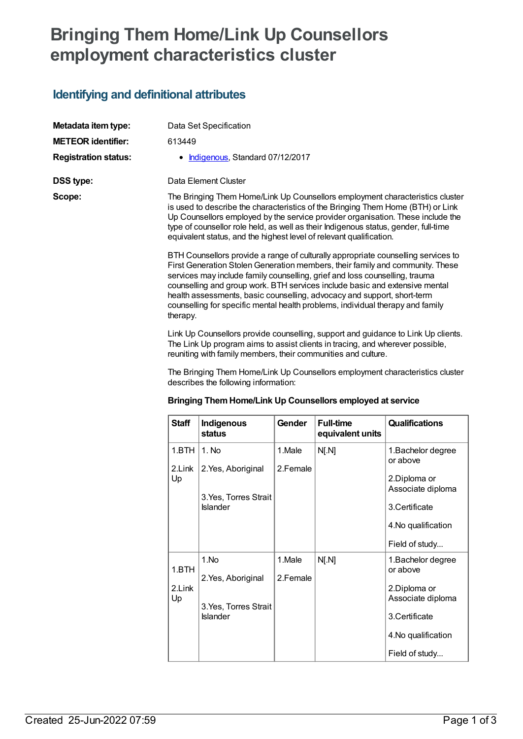# **Bringing Them Home/Link Up Counsellors employment characteristics cluster**

### **Identifying and definitional attributes**

therapy.

| Metadata item type:         | Data Set Specification                                                                                                                                                                                                                                                                                                                                                                                                                                                                        |  |  |
|-----------------------------|-----------------------------------------------------------------------------------------------------------------------------------------------------------------------------------------------------------------------------------------------------------------------------------------------------------------------------------------------------------------------------------------------------------------------------------------------------------------------------------------------|--|--|
| <b>METEOR identifier:</b>   | 613449                                                                                                                                                                                                                                                                                                                                                                                                                                                                                        |  |  |
| <b>Registration status:</b> | Indigenous, Standard 07/12/2017                                                                                                                                                                                                                                                                                                                                                                                                                                                               |  |  |
| <b>DSS type:</b>            | Data Element Cluster                                                                                                                                                                                                                                                                                                                                                                                                                                                                          |  |  |
| Scope:                      | The Bringing Them Home/Link Up Counsellors employment characteristics cluster<br>is used to describe the characteristics of the Bringing Them Home (BTH) or Link<br>Up Counsellors employed by the service provider organisation. These include the<br>type of counsellor role held, as well as their Indigenous status, gender, full-time<br>equivalent status, and the highest level of relevant qualification.                                                                             |  |  |
|                             | BTH Counsellors provide a range of culturally appropriate counselling services to<br>First Generation Stolen Generation members, their family and community. These<br>services may include family counselling, grief and loss counselling, trauma<br>counselling and group work. BTH services include basic and extensive mental<br>health assessments, basic counselling, advocacy and support, short-term<br>counselling for specific mental health problems, individual therapy and family |  |  |

Link Up Counsellors provide counselling, support and guidance to Link Up clients. The Link Up program aims to assist clients in tracing, and wherever possible, reuniting with family members, their communities and culture.

The Bringing Them Home/Link Up Counsellors employment characteristics cluster describes the following information:

|  |  |  | Bringing Them Home/Link Up Counsellors employed at service |
|--|--|--|------------------------------------------------------------|
|--|--|--|------------------------------------------------------------|

| <b>Staff</b> | Indigenous<br><b>status</b>              | Gender   | <b>Full-time</b><br>equivalent units | <b>Qualifications</b>             |
|--------------|------------------------------------------|----------|--------------------------------------|-----------------------------------|
| 1.BTH        | 1. No                                    | 1.Male   | N[. N]                               | 1. Bachelor degree<br>or above    |
| 2.Link<br>Up | 2. Yes, Aboriginal                       | 2.Female |                                      | 2.Diploma or<br>Associate diploma |
|              | 3. Yes, Torres Strait<br><b>Islander</b> |          |                                      | 3. Certificate                    |
|              |                                          |          |                                      | 4. No qualification               |
|              |                                          |          |                                      | Field of study                    |
| 1.BTH        | 1.No                                     | 1.Male   | N[. N]                               | 1. Bachelor degree<br>or above    |
|              | 2. Yes, Aboriginal                       | 2.Female |                                      |                                   |
| 2.Link<br>Up |                                          |          |                                      | 2.Diploma or<br>Associate diploma |
|              | 3. Yes, Torres Strait<br><b>Islander</b> |          |                                      | 3.Certificate                     |
|              |                                          |          |                                      | 4. No qualification               |
|              |                                          |          |                                      | Field of study                    |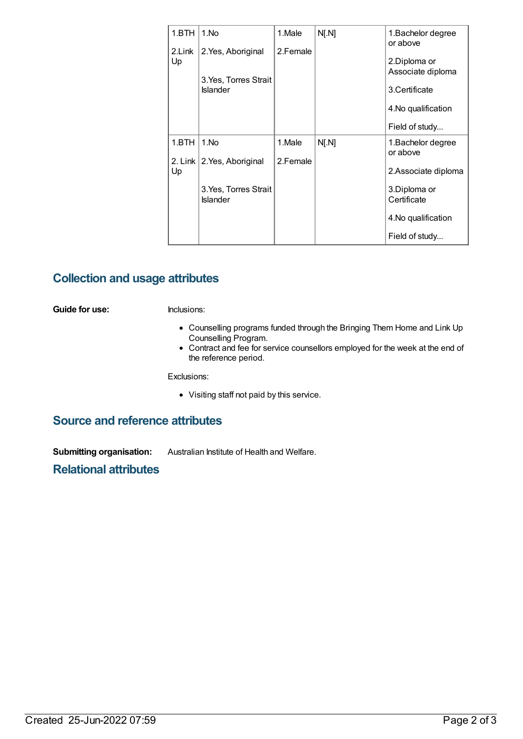| 1.BTH        | 1.No                                                           | 1.Male             | N[. N] | 1. Bachelor degree<br>or above                                                               |
|--------------|----------------------------------------------------------------|--------------------|--------|----------------------------------------------------------------------------------------------|
| 2.Link<br>Up | 2. Yes, Aboriginal<br>3. Yes, Torres Strait<br><b>Islander</b> | 2.Female           |        | 2.Diploma or<br>Associate diploma<br>3. Certificate<br>4. No qualification<br>Field of study |
|              |                                                                |                    |        |                                                                                              |
| 1.BTH        | 1.No<br>2. Link   2. Yes, Aboriginal                           | 1.Male<br>2.Female | N[. N] | 1.Bachelor degree<br>or above                                                                |
| Up           |                                                                |                    |        | 2.Associate diploma                                                                          |
|              | 3. Yes, Torres Strait<br><b>Islander</b>                       |                    |        | 3.Diploma or<br>Certificate                                                                  |
|              |                                                                |                    |        | 4. No qualification                                                                          |
|              |                                                                |                    |        | Field of study                                                                               |

#### **Collection and usage attributes**

**Guide for use:** Inclusions:

- Counselling programs funded through the Bringing Them Home and Link Up Counselling Program.
- Contract and fee for service counsellors employed for the week at the end of the reference period.

Exclusions:

Visiting staff not paid by this service.

#### **Source and reference attributes**

**Submitting organisation:** Australian Institute of Health and Welfare.

**Relational attributes**